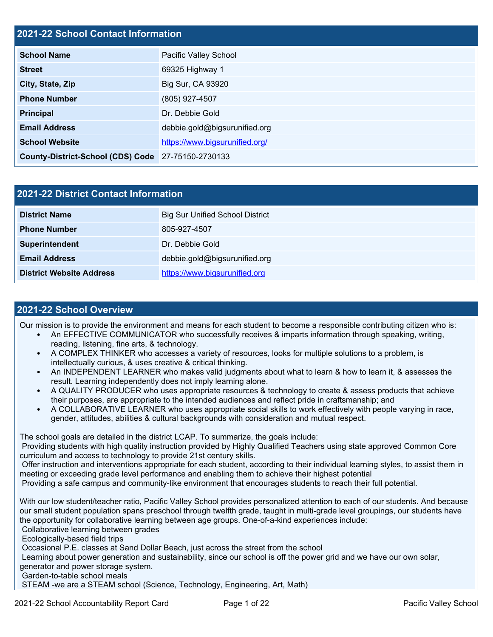# **2021-22 School Contact Information**

| <b>School Name</b>                                 | Pacific Valley School          |  |  |
|----------------------------------------------------|--------------------------------|--|--|
| <b>Street</b>                                      | 69325 Highway 1                |  |  |
| City, State, Zip                                   | Big Sur, CA 93920              |  |  |
| <b>Phone Number</b>                                | (805) 927-4507                 |  |  |
| <b>Principal</b>                                   | Dr. Debbie Gold                |  |  |
| <b>Email Address</b>                               | debbie.gold@bigsurunified.org  |  |  |
| <b>School Website</b>                              | https://www.bigsurunified.org/ |  |  |
| County-District-School (CDS) Code 27-75150-2730133 |                                |  |  |

| 2021-22 District Contact Information |                                        |  |  |  |
|--------------------------------------|----------------------------------------|--|--|--|
| <b>District Name</b>                 | <b>Big Sur Unified School District</b> |  |  |  |
| <b>Phone Number</b>                  | 805-927-4507                           |  |  |  |
| Superintendent                       | Dr. Debbie Gold                        |  |  |  |
| <b>Email Address</b>                 | debbie.gold@bigsurunified.org          |  |  |  |
| <b>District Website Address</b>      | https://www.bigsurunified.org          |  |  |  |

### **2021-22 School Overview**

Our mission is to provide the environment and means for each student to become a responsible contributing citizen who is:

- An EFFECTIVE COMMUNICATOR who successfully receives & imparts information through speaking, writing, reading, listening, fine arts, & technology.
- A COMPLEX THINKER who accesses a variety of resources, looks for multiple solutions to a problem, is intellectually curious, & uses creative & critical thinking.
- An INDEPENDENT LEARNER who makes valid judgments about what to learn & how to learn it, & assesses the result. Learning independently does not imply learning alone.
- A QUALITY PRODUCER who uses appropriate resources & technology to create & assess products that achieve their purposes, are appropriate to the intended audiences and reflect pride in craftsmanship; and
- A COLLABORATIVE LEARNER who uses appropriate social skills to work effectively with people varying in race, gender, attitudes, abilities & cultural backgrounds with consideration and mutual respect.

The school goals are detailed in the district LCAP. To summarize, the goals include:

Providing students with high quality instruction provided by Highly Qualified Teachers using state approved Common Core curriculum and access to technology to provide 21st century skills.

Offer instruction and interventions appropriate for each student, according to their individual learning styles, to assist them in meeting or exceeding grade level performance and enabling them to achieve their highest potential

Providing a safe campus and community-like environment that encourages students to reach their full potential.

With our low student/teacher ratio, Pacific Valley School provides personalized attention to each of our students. And because our small student population spans preschool through twelfth grade, taught in multi-grade level groupings, our students have the opportunity for collaborative learning between age groups. One-of-a-kind experiences include: Collaborative learning between grades

Ecologically-based field trips

Occasional P.E. classes at Sand Dollar Beach, just across the street from the school

Learning about power generation and sustainability, since our school is off the power grid and we have our own solar, generator and power storage system.

Garden-to-table school meals

STEAM -we are a STEAM school (Science, Technology, Engineering, Art, Math)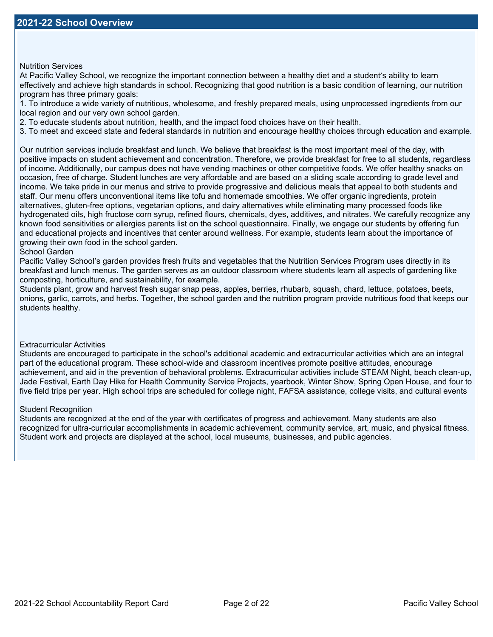Nutrition Services

At Pacific Valley School, we recognize the important connection between a healthy diet and a student's ability to learn effectively and achieve high standards in school. Recognizing that good nutrition is a basic condition of learning, our nutrition program has three primary goals:

1. To introduce a wide variety of nutritious, wholesome, and freshly prepared meals, using unprocessed ingredients from our local region and our very own school garden.

2. To educate students about nutrition, health, and the impact food choices have on their health.

3. To meet and exceed state and federal standards in nutrition and encourage healthy choices through education and example.

Our nutrition services include breakfast and lunch. We believe that breakfast is the most important meal of the day, with positive impacts on student achievement and concentration. Therefore, we provide breakfast for free to all students, regardless of income. Additionally, our campus does not have vending machines or other competitive foods. We offer healthy snacks on occasion, free of charge. Student lunches are very affordable and are based on a sliding scale according to grade level and income. We take pride in our menus and strive to provide progressive and delicious meals that appeal to both students and staff. Our menu offers unconventional items like tofu and homemade smoothies. We offer organic ingredients, protein alternatives, gluten-free options, vegetarian options, and dairy alternatives while eliminating many processed foods like hydrogenated oils, high fructose corn syrup, refined flours, chemicals, dyes, additives, and nitrates. We carefully recognize any known food sensitivities or allergies parents list on the school questionnaire. Finally, we engage our students by offering fun and educational projects and incentives that center around wellness. For example, students learn about the importance of growing their own food in the school garden.

#### School Garden

Pacific Valley School's garden provides fresh fruits and vegetables that the Nutrition Services Program uses directly in its breakfast and lunch menus. The garden serves as an outdoor classroom where students learn all aspects of gardening like composting, horticulture, and sustainability, for example.

Students plant, grow and harvest fresh sugar snap peas, apples, berries, rhubarb, squash, chard, lettuce, potatoes, beets, onions, garlic, carrots, and herbs. Together, the school garden and the nutrition program provide nutritious food that keeps our students healthy.

#### Extracurricular Activities

Students are encouraged to participate in the school's additional academic and extracurricular activities which are an integral part of the educational program. These school-wide and classroom incentives promote positive attitudes, encourage achievement, and aid in the prevention of behavioral problems. Extracurricular activities include STEAM Night, beach clean-up, Jade Festival, Earth Day Hike for Health Community Service Projects, yearbook, Winter Show, Spring Open House, and four to five field trips per year. High school trips are scheduled for college night, FAFSA assistance, college visits, and cultural events

#### Student Recognition

Students are recognized at the end of the year with certificates of progress and achievement. Many students are also recognized for ultra-curricular accomplishments in academic achievement, community service, art, music, and physical fitness. Student work and projects are displayed at the school, local museums, businesses, and public agencies.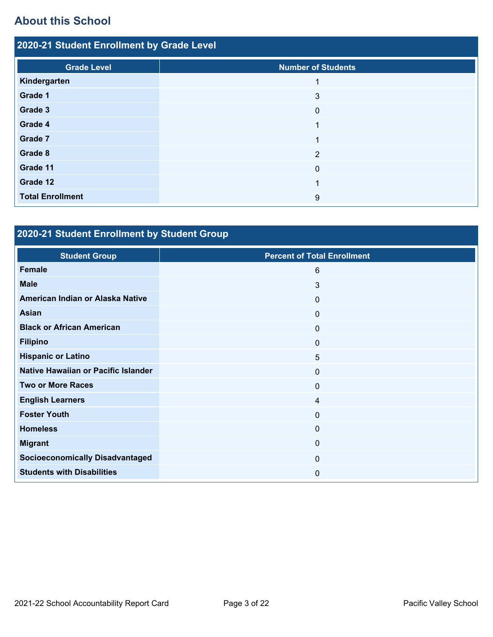# **About this School**

| 2020-21 Student Enrollment by Grade Level |                           |  |  |  |
|-------------------------------------------|---------------------------|--|--|--|
| <b>Grade Level</b>                        | <b>Number of Students</b> |  |  |  |
| Kindergarten                              |                           |  |  |  |
| Grade 1                                   | 3                         |  |  |  |
| Grade 3                                   | $\overline{0}$            |  |  |  |
| Grade 4                                   | 1                         |  |  |  |
| Grade 7                                   | $\overline{\mathbf{A}}$   |  |  |  |
| Grade 8                                   | $\overline{2}$            |  |  |  |
| Grade 11                                  | $\Omega$                  |  |  |  |
| Grade 12                                  |                           |  |  |  |
| <b>Total Enrollment</b>                   | 9                         |  |  |  |

# **2020-21 Student Enrollment by Student Group**

| <b>Student Group</b>                   | <b>Percent of Total Enrollment</b> |
|----------------------------------------|------------------------------------|
| <b>Female</b>                          | 6                                  |
| <b>Male</b>                            | 3                                  |
| American Indian or Alaska Native       | $\mathbf 0$                        |
| <b>Asian</b>                           | $\mathbf 0$                        |
| <b>Black or African American</b>       | $\mathbf 0$                        |
| <b>Filipino</b>                        | $\mathbf 0$                        |
| <b>Hispanic or Latino</b>              | 5                                  |
| Native Hawaiian or Pacific Islander    | $\mathbf 0$                        |
| <b>Two or More Races</b>               | $\mathbf 0$                        |
| <b>English Learners</b>                | 4                                  |
| <b>Foster Youth</b>                    | $\mathbf 0$                        |
| <b>Homeless</b>                        | $\mathbf 0$                        |
| <b>Migrant</b>                         | $\mathbf 0$                        |
| <b>Socioeconomically Disadvantaged</b> | $\mathbf 0$                        |
| <b>Students with Disabilities</b>      | 0                                  |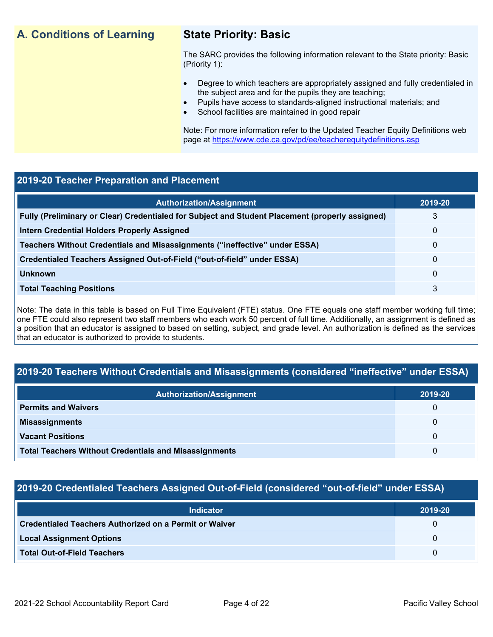# **A. Conditions of Learning State Priority: Basic**

The SARC provides the following information relevant to the State priority: Basic (Priority 1):

- Degree to which teachers are appropriately assigned and fully credentialed in the subject area and for the pupils they are teaching;
	- Pupils have access to standards-aligned instructional materials; and
- School facilities are maintained in good repair

Note: For more information refer to the Updated Teacher Equity Definitions web page at https://www.cde.ca.gov/pd/ee/teacherequitydefinitions.asp

# **2019-20 Teacher Preparation and Placement**

| <b>Authorization/Assignment</b>                                                                 | 2019-20 |
|-------------------------------------------------------------------------------------------------|---------|
| Fully (Preliminary or Clear) Credentialed for Subject and Student Placement (properly assigned) | 3       |
| <b>Intern Credential Holders Properly Assigned</b>                                              | 0       |
| Teachers Without Credentials and Misassignments ("ineffective" under ESSA)                      | 0       |
| Credentialed Teachers Assigned Out-of-Field ("out-of-field" under ESSA)                         | 0       |
| <b>Unknown</b>                                                                                  | 0       |
| <b>Total Teaching Positions</b>                                                                 | 3       |

Note: The data in this table is based on Full Time Equivalent (FTE) status. One FTE equals one staff member working full time; one FTE could also represent two staff members who each work 50 percent of full time. Additionally, an assignment is defined as a position that an educator is assigned to based on setting, subject, and grade level. An authorization is defined as the services that an educator is authorized to provide to students.

# **2019-20 Teachers Without Credentials and Misassignments (considered "ineffective" under ESSA)**

| <b>Authorization/Assignment</b>                              | 2019-20 |
|--------------------------------------------------------------|---------|
| <b>Permits and Waivers</b>                                   | 0       |
| <b>Misassignments</b>                                        | 0       |
| <b>Vacant Positions</b>                                      | 0       |
| <b>Total Teachers Without Credentials and Misassignments</b> | 0       |

# **2019-20 Credentialed Teachers Assigned Out-of-Field (considered "out-of-field" under ESSA)**

| <b>Indicator</b>                                              | 2019-20 |
|---------------------------------------------------------------|---------|
| <b>Credentialed Teachers Authorized on a Permit or Waiver</b> |         |
| <b>Local Assignment Options</b>                               |         |
| <b>Total Out-of-Field Teachers</b>                            |         |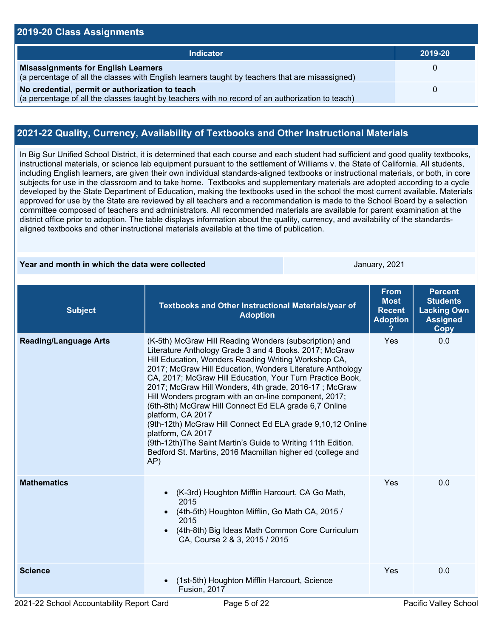### **2019-20 Class Assignments Indicator 2019-20 Misassignments for English Learners** (a percentage of all the classes with English learners taught by teachers that are misassigned) 0 **No credential, permit or authorization to teach** (a percentage of all the classes taught by teachers with no record of an authorization to teach) 0

# **2021-22 Quality, Currency, Availability of Textbooks and Other Instructional Materials**

In Big Sur Unified School District, it is determined that each course and each student had sufficient and good quality textbooks, instructional materials, or science lab equipment pursuant to the settlement of Williams v. the State of California. All students, including English learners, are given their own individual standards-aligned textbooks or instructional materials, or both, in core subjects for use in the classroom and to take home. Textbooks and supplementary materials are adopted according to a cycle developed by the State Department of Education, making the textbooks used in the school the most current available. Materials approved for use by the State are reviewed by all teachers and a recommendation is made to the School Board by a selection committee composed of teachers and administrators. All recommended materials are available for parent examination at the district office prior to adoption. The table displays information about the quality, currency, and availability of the standardsaligned textbooks and other instructional materials available at the time of publication.

### **Year and month in which the data were collected** January, 2021

| <b>Subject</b>               | Textbooks and Other Instructional Materials/year of<br><b>Adoption</b>                                                                                                                                                                                                                                                                                                                                                                                                                                                                                                                                                                                                                                                     | <b>From</b><br><b>Most</b><br><b>Recent</b><br><b>Adoption</b> | <b>Percent</b><br><b>Students</b><br><b>Lacking Own</b><br><b>Assigned</b><br>Copy |
|------------------------------|----------------------------------------------------------------------------------------------------------------------------------------------------------------------------------------------------------------------------------------------------------------------------------------------------------------------------------------------------------------------------------------------------------------------------------------------------------------------------------------------------------------------------------------------------------------------------------------------------------------------------------------------------------------------------------------------------------------------------|----------------------------------------------------------------|------------------------------------------------------------------------------------|
| <b>Reading/Language Arts</b> | (K-5th) McGraw Hill Reading Wonders (subscription) and<br>Literature Anthology Grade 3 and 4 Books. 2017; McGraw<br>Hill Education, Wonders Reading Writing Workshop CA,<br>2017; McGraw Hill Education, Wonders Literature Anthology<br>CA, 2017; McGraw Hill Education, Your Turn Practice Book,<br>2017; McGraw Hill Wonders, 4th grade, 2016-17; McGraw<br>Hill Wonders program with an on-line component, 2017;<br>(6th-8th) McGraw Hill Connect Ed ELA grade 6,7 Online<br>platform, CA 2017<br>(9th-12th) McGraw Hill Connect Ed ELA grade 9,10,12 Online<br>platform, CA 2017<br>(9th-12th) The Saint Martin's Guide to Writing 11th Edition.<br>Bedford St. Martins, 2016 Macmillan higher ed (college and<br>AP) | Yes                                                            | 0.0                                                                                |
| <b>Mathematics</b>           | (K-3rd) Houghton Mifflin Harcourt, CA Go Math,<br>$\bullet$<br>2015<br>(4th-5th) Houghton Mifflin, Go Math CA, 2015 /<br>2015<br>(4th-8th) Big Ideas Math Common Core Curriculum<br>CA, Course 2 & 3, 2015 / 2015                                                                                                                                                                                                                                                                                                                                                                                                                                                                                                          | Yes                                                            | 0.0                                                                                |
| <b>Science</b>               | (1st-5th) Houghton Mifflin Harcourt, Science<br><b>Fusion, 2017</b>                                                                                                                                                                                                                                                                                                                                                                                                                                                                                                                                                                                                                                                        | Yes                                                            | 0.0                                                                                |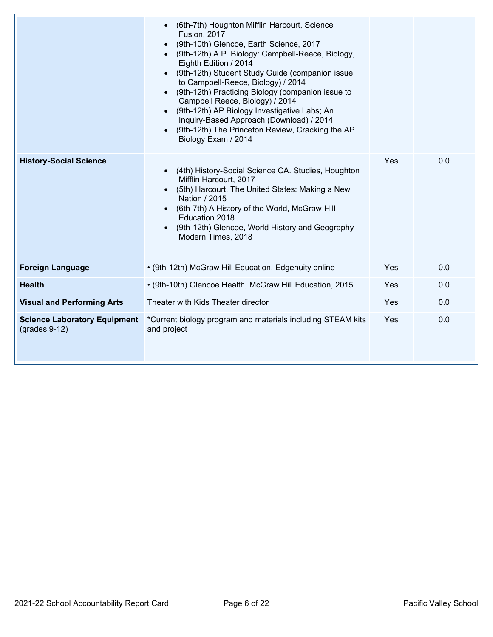|                                                        | (6th-7th) Houghton Mifflin Harcourt, Science<br><b>Fusion, 2017</b><br>(9th-10th) Glencoe, Earth Science, 2017<br>(9th-12th) A.P. Biology: Campbell-Reece, Biology,<br>Eighth Edition / 2014<br>(9th-12th) Student Study Guide (companion issue<br>to Campbell-Reece, Biology) / 2014<br>(9th-12th) Practicing Biology (companion issue to<br>Campbell Reece, Biology) / 2014<br>(9th-12th) AP Biology Investigative Labs; An<br>Inquiry-Based Approach (Download) / 2014<br>(9th-12th) The Princeton Review, Cracking the AP<br>Biology Exam / 2014 |     |     |
|--------------------------------------------------------|------------------------------------------------------------------------------------------------------------------------------------------------------------------------------------------------------------------------------------------------------------------------------------------------------------------------------------------------------------------------------------------------------------------------------------------------------------------------------------------------------------------------------------------------------|-----|-----|
| <b>History-Social Science</b>                          | (4th) History-Social Science CA. Studies, Houghton<br>Mifflin Harcourt, 2017<br>(5th) Harcourt, The United States: Making a New<br>Nation / 2015<br>(6th-7th) A History of the World, McGraw-Hill<br>Education 2018<br>(9th-12th) Glencoe, World History and Geography<br>Modern Times, 2018                                                                                                                                                                                                                                                         | Yes | 0.0 |
| <b>Foreign Language</b>                                | • (9th-12th) McGraw Hill Education, Edgenuity online                                                                                                                                                                                                                                                                                                                                                                                                                                                                                                 | Yes | 0.0 |
| <b>Health</b>                                          | • (9th-10th) Glencoe Health, McGraw Hill Education, 2015                                                                                                                                                                                                                                                                                                                                                                                                                                                                                             | Yes | 0.0 |
| <b>Visual and Performing Arts</b>                      | Theater with Kids Theater director                                                                                                                                                                                                                                                                                                                                                                                                                                                                                                                   | Yes | 0.0 |
| <b>Science Laboratory Equipment</b><br>$(grades 9-12)$ | *Current biology program and materials including STEAM kits<br>and project                                                                                                                                                                                                                                                                                                                                                                                                                                                                           | Yes | 0.0 |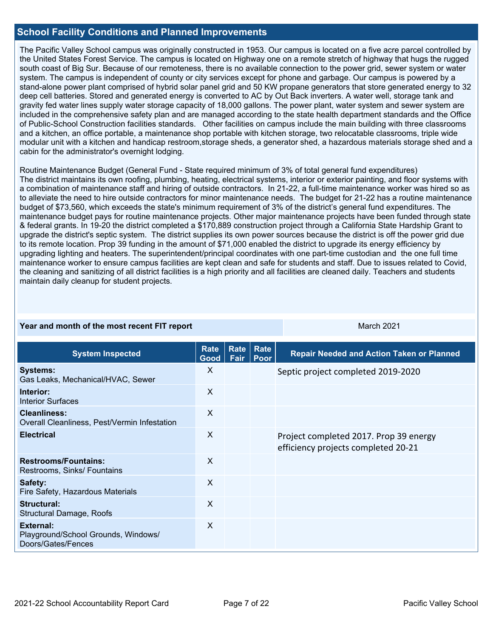## **School Facility Conditions and Planned Improvements**

The Pacific Valley School campus was originally constructed in 1953. Our campus is located on a five acre parcel controlled by the United States Forest Service. The campus is located on Highway one on a remote stretch of highway that hugs the rugged south coast of Big Sur. Because of our remoteness, there is no available connection to the power grid, sewer system or water system. The campus is independent of county or city services except for phone and garbage. Our campus is powered by a stand-alone power plant comprised of hybrid solar panel grid and 50 KW propane generators that store generated energy to 32 deep cell batteries. Stored and generated energy is converted to AC by Out Back inverters. A water well, storage tank and gravity fed water lines supply water storage capacity of 18,000 gallons. The power plant, water system and sewer system are included in the comprehensive safety plan and are managed according to the state health department standards and the Office of Public-School Construction facilities standards. Other facilities on campus include the main building with three classrooms and a kitchen, an office portable, a maintenance shop portable with kitchen storage, two relocatable classrooms, triple wide modular unit with a kitchen and handicap restroom,storage sheds, a generator shed, a hazardous materials storage shed and a cabin for the administrator's overnight lodging.

Routine Maintenance Budget (General Fund - State required minimum of 3% of total general fund expenditures) The district maintains its own roofing, plumbing, heating, electrical systems, interior or exterior painting, and floor systems with a combination of maintenance staff and hiring of outside contractors. In 21-22, a full-time maintenance worker was hired so as to alleviate the need to hire outside contractors for minor maintenance needs. The budget for 21-22 has a routine maintenance budget of \$73,560, which exceeds the state's minimum requirement of 3% of the district's general fund expenditures. The maintenance budget pays for routine maintenance projects. Other major maintenance projects have been funded through state & federal grants. In 19-20 the district completed a \$170,889 construction project through a California State Hardship Grant to upgrade the district's septic system. The district supplies its own power sources because the district is off the power grid due to its remote location. Prop 39 funding in the amount of \$71,000 enabled the district to upgrade its energy efficiency by upgrading lighting and heaters. The superintendent/principal coordinates with one part-time custodian and the one full time maintenance worker to ensure campus facilities are kept clean and safe for students and staff. Due to issues related to Covid, the cleaning and sanitizing of all district facilities is a high priority and all facilities are cleaned daily. Teachers and students maintain daily cleanup for student projects.

#### **Year and month of the most recent FIT report** March 2021

| <b>System Inspected</b>                                                | Rate<br>Good | <b>Rate</b><br>Fair | Rate<br><b>Poor</b> | <b>Repair Needed and Action Taken or Planned</b>                              |
|------------------------------------------------------------------------|--------------|---------------------|---------------------|-------------------------------------------------------------------------------|
| <b>Systems:</b><br>Gas Leaks, Mechanical/HVAC, Sewer                   | X            |                     |                     | Septic project completed 2019-2020                                            |
| Interior:<br><b>Interior Surfaces</b>                                  | X            |                     |                     |                                                                               |
| <b>Cleanliness:</b><br>Overall Cleanliness, Pest/Vermin Infestation    | X            |                     |                     |                                                                               |
| <b>Electrical</b>                                                      | X            |                     |                     | Project completed 2017. Prop 39 energy<br>efficiency projects completed 20-21 |
| <b>Restrooms/Fountains:</b><br>Restrooms, Sinks/ Fountains             | $\mathsf{X}$ |                     |                     |                                                                               |
| Safety:<br>Fire Safety, Hazardous Materials                            | X            |                     |                     |                                                                               |
| Structural:<br>Structural Damage, Roofs                                | X            |                     |                     |                                                                               |
| External:<br>Playground/School Grounds, Windows/<br>Doors/Gates/Fences | X            |                     |                     |                                                                               |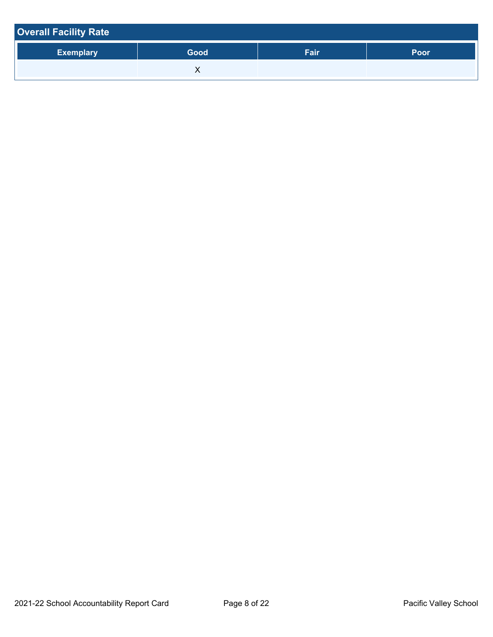| <b>Overall Facility Rate</b> |      |      |      |
|------------------------------|------|------|------|
| <b>Exemplary</b>             | Good | Fair | Poor |
|                              |      |      |      |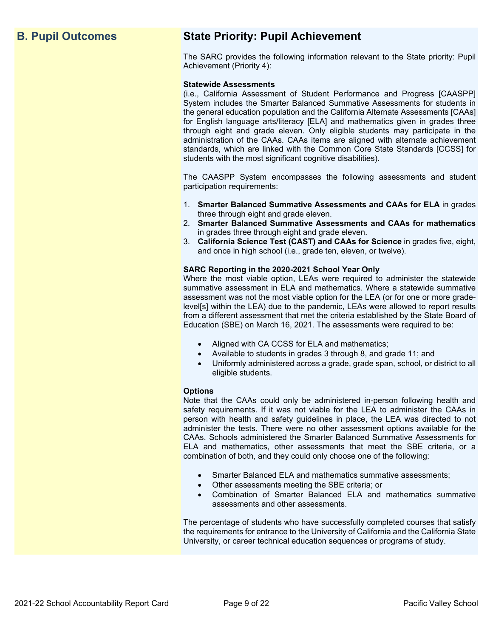# **B. Pupil Outcomes State Priority: Pupil Achievement**

The SARC provides the following information relevant to the State priority: Pupil Achievement (Priority 4):

#### **Statewide Assessments**

(i.e., California Assessment of Student Performance and Progress [CAASPP] System includes the Smarter Balanced Summative Assessments for students in the general education population and the California Alternate Assessments [CAAs] for English language arts/literacy [ELA] and mathematics given in grades three through eight and grade eleven. Only eligible students may participate in the administration of the CAAs. CAAs items are aligned with alternate achievement standards, which are linked with the Common Core State Standards [CCSS] for students with the most significant cognitive disabilities).

The CAASPP System encompasses the following assessments and student participation requirements:

- 1. **Smarter Balanced Summative Assessments and CAAs for ELA** in grades three through eight and grade eleven.
- 2. **Smarter Balanced Summative Assessments and CAAs for mathematics** in grades three through eight and grade eleven.
- 3. **California Science Test (CAST) and CAAs for Science** in grades five, eight, and once in high school (i.e., grade ten, eleven, or twelve).

### **SARC Reporting in the 2020-2021 School Year Only**

Where the most viable option, LEAs were required to administer the statewide summative assessment in ELA and mathematics. Where a statewide summative assessment was not the most viable option for the LEA (or for one or more gradelevel[s] within the LEA) due to the pandemic, LEAs were allowed to report results from a different assessment that met the criteria established by the State Board of Education (SBE) on March 16, 2021. The assessments were required to be:

- Aligned with CA CCSS for ELA and mathematics;
- Available to students in grades 3 through 8, and grade 11; and
- Uniformly administered across a grade, grade span, school, or district to all eligible students.

#### **Options**

Note that the CAAs could only be administered in-person following health and safety requirements. If it was not viable for the LEA to administer the CAAs in person with health and safety guidelines in place, the LEA was directed to not administer the tests. There were no other assessment options available for the CAAs. Schools administered the Smarter Balanced Summative Assessments for ELA and mathematics, other assessments that meet the SBE criteria, or a combination of both, and they could only choose one of the following:

- Smarter Balanced ELA and mathematics summative assessments;
- Other assessments meeting the SBE criteria; or
- Combination of Smarter Balanced ELA and mathematics summative assessments and other assessments.

The percentage of students who have successfully completed courses that satisfy the requirements for entrance to the University of California and the California State University, or career technical education sequences or programs of study.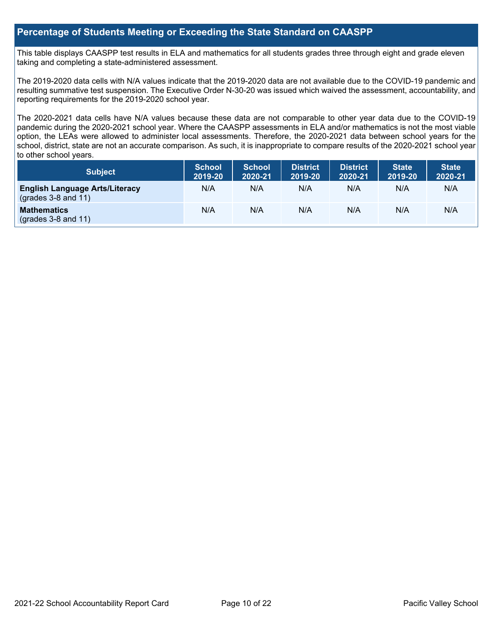## **Percentage of Students Meeting or Exceeding the State Standard on CAASPP**

This table displays CAASPP test results in ELA and mathematics for all students grades three through eight and grade eleven taking and completing a state-administered assessment.

The 2019-2020 data cells with N/A values indicate that the 2019-2020 data are not available due to the COVID-19 pandemic and resulting summative test suspension. The Executive Order N-30-20 was issued which waived the assessment, accountability, and reporting requirements for the 2019-2020 school year.

The 2020-2021 data cells have N/A values because these data are not comparable to other year data due to the COVID-19 pandemic during the 2020-2021 school year. Where the CAASPP assessments in ELA and/or mathematics is not the most viable option, the LEAs were allowed to administer local assessments. Therefore, the 2020-2021 data between school years for the school, district, state are not an accurate comparison. As such, it is inappropriate to compare results of the 2020-2021 school year to other school years.

| Subject                                                              | <b>School</b><br>2019-20 | <b>School</b><br>2020-21 | <b>District</b><br>2019-20 | <b>District</b><br>2020-21 | <b>State</b><br>2019-20 | <b>State</b><br>2020-21 |
|----------------------------------------------------------------------|--------------------------|--------------------------|----------------------------|----------------------------|-------------------------|-------------------------|
| <b>English Language Arts/Literacy</b><br>$\left($ grades 3-8 and 11) | N/A                      | N/A                      | N/A                        | N/A                        | N/A                     | N/A                     |
| <b>Mathematics</b><br>$(grades 3-8 and 11)$                          | N/A                      | N/A                      | N/A                        | N/A                        | N/A                     | N/A                     |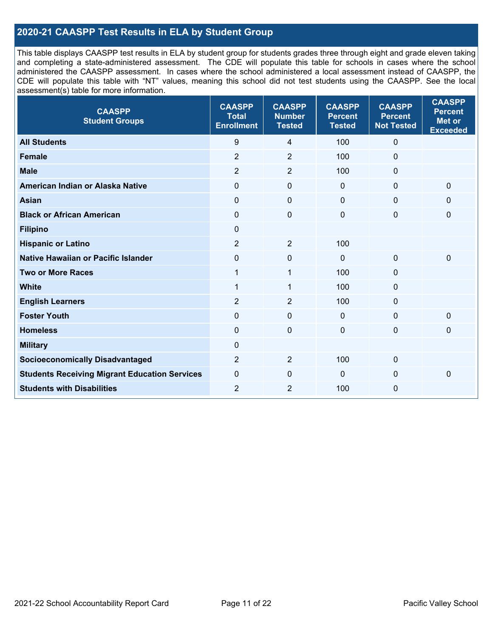# **2020-21 CAASPP Test Results in ELA by Student Group**

This table displays CAASPP test results in ELA by student group for students grades three through eight and grade eleven taking and completing a state-administered assessment. The CDE will populate this table for schools in cases where the school administered the CAASPP assessment. In cases where the school administered a local assessment instead of CAASPP, the CDE will populate this table with "NT" values, meaning this school did not test students using the CAASPP. See the local assessment(s) table for more information.

| <b>CAASPP</b><br><b>Student Groups</b>               | <b>CAASPP</b><br><b>Total</b><br><b>Enrollment</b> | <b>CAASPP</b><br><b>Number</b><br><b>Tested</b> | <b>CAASPP</b><br><b>Percent</b><br><b>Tested</b> | <b>CAASPP</b><br><b>Percent</b><br><b>Not Tested</b> | <b>CAASPP</b><br><b>Percent</b><br>Met or<br><b>Exceeded</b> |
|------------------------------------------------------|----------------------------------------------------|-------------------------------------------------|--------------------------------------------------|------------------------------------------------------|--------------------------------------------------------------|
| <b>All Students</b>                                  | 9                                                  | $\overline{4}$                                  | 100                                              | $\mathbf 0$                                          |                                                              |
| <b>Female</b>                                        | $\overline{2}$                                     | $\overline{2}$                                  | 100                                              | $\mathbf 0$                                          |                                                              |
| <b>Male</b>                                          | $\overline{2}$                                     | $\overline{2}$                                  | 100                                              | $\mathbf 0$                                          |                                                              |
| American Indian or Alaska Native                     | $\mathbf 0$                                        | $\pmb{0}$                                       | $\mathbf 0$                                      | $\mathbf 0$                                          | 0                                                            |
| <b>Asian</b>                                         | $\mathbf 0$                                        | $\pmb{0}$                                       | $\mathbf 0$                                      | $\mathbf 0$                                          | $\mathbf{0}$                                                 |
| <b>Black or African American</b>                     | $\mathbf 0$                                        | $\mathbf 0$                                     | $\mathbf 0$                                      | $\mathbf 0$                                          | 0                                                            |
| <b>Filipino</b>                                      | $\mathbf 0$                                        |                                                 |                                                  |                                                      |                                                              |
| <b>Hispanic or Latino</b>                            | $\overline{2}$                                     | $\overline{2}$                                  | 100                                              |                                                      |                                                              |
| <b>Native Hawaiian or Pacific Islander</b>           | $\mathbf 0$                                        | $\pmb{0}$                                       | $\mathbf 0$                                      | $\mathbf 0$                                          | 0                                                            |
| <b>Two or More Races</b>                             | 1                                                  | 1                                               | 100                                              | $\mathbf 0$                                          |                                                              |
| <b>White</b>                                         | 1                                                  | 1                                               | 100                                              | $\mathbf 0$                                          |                                                              |
| <b>English Learners</b>                              | $\overline{2}$                                     | $\overline{2}$                                  | 100                                              | $\mathbf 0$                                          |                                                              |
| <b>Foster Youth</b>                                  | $\Omega$                                           | $\mathbf 0$                                     | $\mathbf{0}$                                     | $\mathbf 0$                                          | 0                                                            |
| <b>Homeless</b>                                      | $\mathbf 0$                                        | $\mathbf 0$                                     | $\mathbf 0$                                      | $\mathbf 0$                                          | 0                                                            |
| <b>Military</b>                                      | $\mathbf 0$                                        |                                                 |                                                  |                                                      |                                                              |
| <b>Socioeconomically Disadvantaged</b>               | $\overline{2}$                                     | $\overline{2}$                                  | 100                                              | $\mathbf 0$                                          |                                                              |
| <b>Students Receiving Migrant Education Services</b> | $\mathbf 0$                                        | 0                                               | $\mathbf 0$                                      | $\mathbf 0$                                          | 0                                                            |
| <b>Students with Disabilities</b>                    | $\overline{2}$                                     | $\overline{2}$                                  | 100                                              | $\mathbf 0$                                          |                                                              |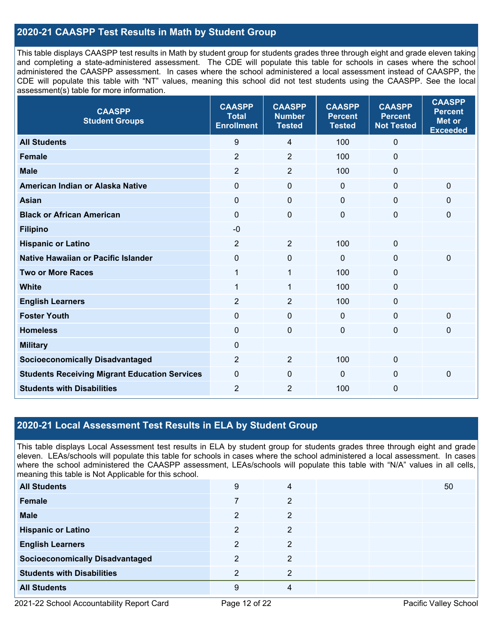# **2020-21 CAASPP Test Results in Math by Student Group**

This table displays CAASPP test results in Math by student group for students grades three through eight and grade eleven taking and completing a state-administered assessment. The CDE will populate this table for schools in cases where the school administered the CAASPP assessment. In cases where the school administered a local assessment instead of CAASPP, the CDE will populate this table with "NT" values, meaning this school did not test students using the CAASPP. See the local assessment(s) table for more information.

| <b>CAASPP</b><br><b>Student Groups</b>               | <b>CAASPP</b><br><b>Total</b><br><b>Enrollment</b> | <b>CAASPP</b><br><b>Number</b><br><b>Tested</b> | <b>CAASPP</b><br><b>Percent</b><br><b>Tested</b> | <b>CAASPP</b><br><b>Percent</b><br><b>Not Tested</b> | <b>CAASPP</b><br><b>Percent</b><br><b>Met or</b><br><b>Exceeded</b> |
|------------------------------------------------------|----------------------------------------------------|-------------------------------------------------|--------------------------------------------------|------------------------------------------------------|---------------------------------------------------------------------|
| <b>All Students</b>                                  | $9\,$                                              | 4                                               | 100                                              | $\Omega$                                             |                                                                     |
| <b>Female</b>                                        | $\overline{2}$                                     | $\overline{2}$                                  | 100                                              | $\mathbf 0$                                          |                                                                     |
| <b>Male</b>                                          | 2                                                  | $\overline{2}$                                  | 100                                              | 0                                                    |                                                                     |
| American Indian or Alaska Native                     | $\mathbf 0$                                        | $\pmb{0}$                                       | $\mathbf 0$                                      | 0                                                    | $\mathbf 0$                                                         |
| <b>Asian</b>                                         | $\mathbf 0$                                        | $\pmb{0}$                                       | $\mathbf 0$                                      | 0                                                    | $\mathbf 0$                                                         |
| <b>Black or African American</b>                     | $\mathbf{0}$                                       | 0                                               | $\mathbf 0$                                      | 0                                                    | 0                                                                   |
| <b>Filipino</b>                                      | $-0$                                               |                                                 |                                                  |                                                      |                                                                     |
| <b>Hispanic or Latino</b>                            | 2                                                  | $\overline{2}$                                  | 100                                              | 0                                                    |                                                                     |
| Native Hawaiian or Pacific Islander                  | $\mathbf 0$                                        | 0                                               | $\mathbf 0$                                      | 0                                                    | $\mathbf 0$                                                         |
| <b>Two or More Races</b>                             | $\mathbf{1}$                                       | $\mathbf{1}$                                    | 100                                              | 0                                                    |                                                                     |
| <b>White</b>                                         | $\mathbf{1}$                                       | $\mathbf{1}$                                    | 100                                              | 0                                                    |                                                                     |
| <b>English Learners</b>                              | $\overline{2}$                                     | $\overline{2}$                                  | 100                                              | 0                                                    |                                                                     |
| <b>Foster Youth</b>                                  | $\mathbf{0}$                                       | 0                                               | $\mathbf 0$                                      | 0                                                    | $\mathbf 0$                                                         |
| <b>Homeless</b>                                      | $\mathbf{0}$                                       | $\mathbf 0$                                     | $\mathbf 0$                                      | 0                                                    | $\mathbf 0$                                                         |
| <b>Military</b>                                      | $\mathbf 0$                                        |                                                 |                                                  |                                                      |                                                                     |
| <b>Socioeconomically Disadvantaged</b>               | $\overline{2}$                                     | $\overline{2}$                                  | 100                                              | 0                                                    |                                                                     |
| <b>Students Receiving Migrant Education Services</b> | $\mathbf 0$                                        | $\mathbf 0$                                     | $\mathbf 0$                                      | 0                                                    | $\mathbf 0$                                                         |
| <b>Students with Disabilities</b>                    | $\overline{2}$                                     | 2                                               | 100                                              | 0                                                    |                                                                     |

# **2020-21 Local Assessment Test Results in ELA by Student Group**

This table displays Local Assessment test results in ELA by student group for students grades three through eight and grade eleven. LEAs/schools will populate this table for schools in cases where the school administered a local assessment. In cases where the school administered the CAASPP assessment, LEAs/schools will populate this table with "N/A" values in all cells, meaning this table is Not Applicable for this school.

| <b>All Students</b>                    | 9              | 4              |  | 50 |
|----------------------------------------|----------------|----------------|--|----|
| Female                                 |                | 2              |  |    |
| <b>Male</b>                            | 2              | 2              |  |    |
| <b>Hispanic or Latino</b>              | $\overline{2}$ | 2              |  |    |
| <b>English Learners</b>                | $\mathfrak{p}$ | 2              |  |    |
| <b>Socioeconomically Disadvantaged</b> | າ              | $\overline{2}$ |  |    |
| <b>Students with Disabilities</b>      | ົ              | 2              |  |    |
| <b>All Students</b>                    | 9              | 4              |  |    |

2021-22 School Accountability Report Card Page 12 of 22 Pacific Valley School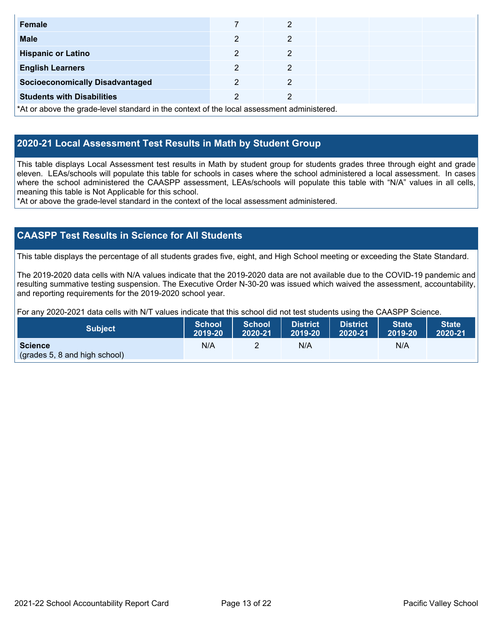| Female                                                                                     |   | 2 |  |  |  |  |
|--------------------------------------------------------------------------------------------|---|---|--|--|--|--|
| <b>Male</b>                                                                                | າ | 2 |  |  |  |  |
| <b>Hispanic or Latino</b>                                                                  | 2 | 2 |  |  |  |  |
| <b>English Learners</b>                                                                    | າ | 2 |  |  |  |  |
| <b>Socioeconomically Disadvantaged</b>                                                     | 2 | 2 |  |  |  |  |
| <b>Students with Disabilities</b>                                                          |   | 2 |  |  |  |  |
| *At or above the grade-level standard in the context of the local assessment administered. |   |   |  |  |  |  |

# **2020-21 Local Assessment Test Results in Math by Student Group**

This table displays Local Assessment test results in Math by student group for students grades three through eight and grade eleven. LEAs/schools will populate this table for schools in cases where the school administered a local assessment. In cases where the school administered the CAASPP assessment, LEAs/schools will populate this table with "N/A" values in all cells, meaning this table is Not Applicable for this school.

\*At or above the grade-level standard in the context of the local assessment administered.

# **CAASPP Test Results in Science for All Students**

This table displays the percentage of all students grades five, eight, and High School meeting or exceeding the State Standard.

The 2019-2020 data cells with N/A values indicate that the 2019-2020 data are not available due to the COVID-19 pandemic and resulting summative testing suspension. The Executive Order N-30-20 was issued which waived the assessment, accountability, and reporting requirements for the 2019-2020 school year.

For any 2020-2021 data cells with N/T values indicate that this school did not test students using the CAASPP Science.

| <b>Subject</b>                                  | <b>School</b> | <b>School</b> | <b>District</b> | District | <b>State</b> | State <sup>1</sup> |
|-------------------------------------------------|---------------|---------------|-----------------|----------|--------------|--------------------|
|                                                 | 2019-20       | 2020-21       | 2019-20         | 2020-21  | 2019-20      | 2020-21            |
| <b>Science</b><br>(grades 5, 8 and high school) | N/A           |               | N/A             |          | N/A          |                    |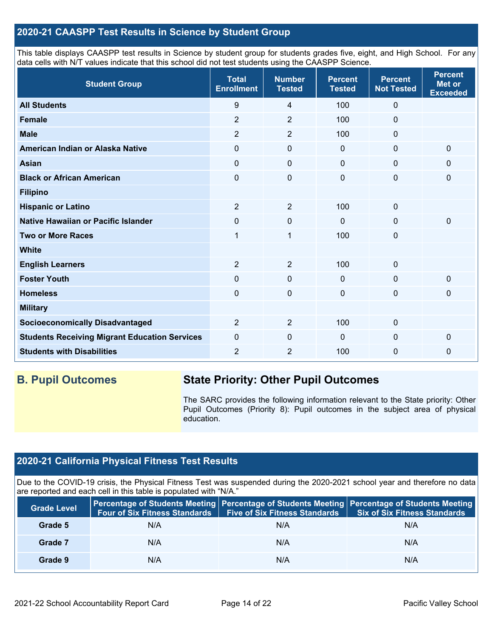# **2020-21 CAASPP Test Results in Science by Student Group**

This table displays CAASPP test results in Science by student group for students grades five, eight, and High School. For any data cells with N/T values indicate that this school did not test students using the CAASPP Science.

| <b>Student Group</b>                                 | <b>Total</b><br><b>Enrollment</b> | <b>Number</b><br><b>Tested</b> | <b>Percent</b><br><b>Tested</b> | <b>Percent</b><br><b>Not Tested</b> | <b>Percent</b><br><b>Met or</b><br><b>Exceeded</b> |
|------------------------------------------------------|-----------------------------------|--------------------------------|---------------------------------|-------------------------------------|----------------------------------------------------|
| <b>All Students</b>                                  | 9                                 | 4                              | 100                             | $\mathbf 0$                         |                                                    |
| <b>Female</b>                                        | $\overline{2}$                    | $\overline{2}$                 | 100                             | $\mathbf 0$                         |                                                    |
| <b>Male</b>                                          | $\overline{2}$                    | $\overline{2}$                 | 100                             | $\mathbf 0$                         |                                                    |
| American Indian or Alaska Native                     | 0                                 | $\mathbf 0$                    | $\mathbf 0$                     | $\mathbf 0$                         | $\mathbf 0$                                        |
| <b>Asian</b>                                         | 0                                 | $\pmb{0}$                      | $\mathbf 0$                     | $\mathbf 0$                         | 0                                                  |
| <b>Black or African American</b>                     | 0                                 | $\pmb{0}$                      | $\pmb{0}$                       | $\mathbf 0$                         | 0                                                  |
| <b>Filipino</b>                                      |                                   |                                |                                 |                                     |                                                    |
| <b>Hispanic or Latino</b>                            | $\overline{2}$                    | $\overline{2}$                 | 100                             | $\mathbf{0}$                        |                                                    |
| Native Hawaiian or Pacific Islander                  | 0                                 | 0                              | $\mathbf{0}$                    | $\mathbf 0$                         | $\mathbf 0$                                        |
| <b>Two or More Races</b>                             | 1                                 | $\mathbf{1}$                   | 100                             | $\mathbf 0$                         |                                                    |
| <b>White</b>                                         |                                   |                                |                                 |                                     |                                                    |
| <b>English Learners</b>                              | $\overline{2}$                    | $\overline{2}$                 | 100                             | $\mathbf 0$                         |                                                    |
| <b>Foster Youth</b>                                  | $\mathbf 0$                       | $\mathbf 0$                    | $\mathbf 0$                     | $\mathbf 0$                         | $\mathbf 0$                                        |
| <b>Homeless</b>                                      | 0                                 | $\mathbf 0$                    | $\mathbf 0$                     | $\mathbf 0$                         | 0                                                  |
| <b>Military</b>                                      |                                   |                                |                                 |                                     |                                                    |
| <b>Socioeconomically Disadvantaged</b>               | $\overline{2}$                    | $\overline{2}$                 | 100                             | $\mathbf 0$                         |                                                    |
| <b>Students Receiving Migrant Education Services</b> | 0                                 | 0                              | $\mathbf{0}$                    | $\mathbf 0$                         | $\mathbf 0$                                        |
| <b>Students with Disabilities</b>                    | $\overline{2}$                    | $\overline{2}$                 | 100                             | $\mathbf 0$                         | 0                                                  |

# **B. Pupil Outcomes State Priority: Other Pupil Outcomes**

The SARC provides the following information relevant to the State priority: Other Pupil Outcomes (Priority 8): Pupil outcomes in the subject area of physical education.

# **2020-21 California Physical Fitness Test Results**

Due to the COVID-19 crisis, the Physical Fitness Test was suspended during the 2020-2021 school year and therefore no data are reported and each cell in this table is populated with "N/A."

| <b>Grade Level</b> | <b>Four of Six Fitness Standards</b> | <b>Five of Six Fitness Standards</b> | Percentage of Students Meeting   Percentage of Students Meeting   Percentage of Students Meeting<br><b>Six of Six Fitness Standards</b> |
|--------------------|--------------------------------------|--------------------------------------|-----------------------------------------------------------------------------------------------------------------------------------------|
| Grade 5            | N/A                                  | N/A                                  | N/A                                                                                                                                     |
| Grade 7            | N/A                                  | N/A                                  | N/A                                                                                                                                     |
| Grade 9            | N/A                                  | N/A                                  | N/A                                                                                                                                     |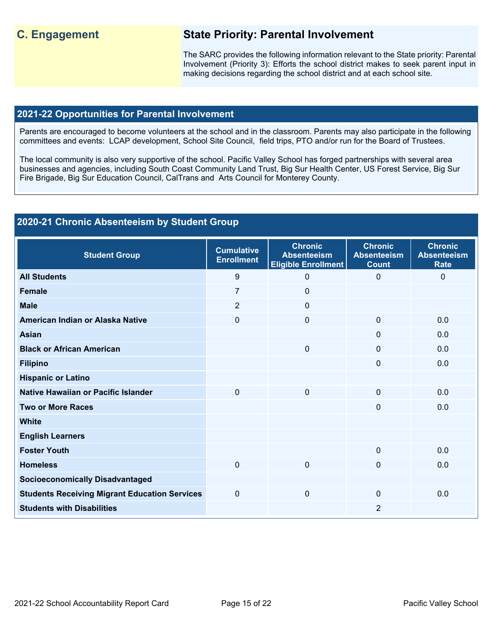# **C. Engagement State Priority: Parental Involvement**

The SARC provides the following information relevant to the State priority: Parental Involvement (Priority 3): Efforts the school district makes to seek parent input in making decisions regarding the school district and at each school site.

## **2021-22 Opportunities for Parental Involvement**

Parents are encouraged to become volunteers at the school and in the classroom. Parents may also participate in the following committees and events: LCAP development, School Site Council, field trips, PTO and/or run for the Board of Trustees.

The local community is also very supportive of the school. Pacific Valley School has forged partnerships with several area businesses and agencies, including South Coast Community Land Trust, Big Sur Health Center, US Forest Service, Big Sur Fire Brigade, Big Sur Education Council, CalTrans and Arts Council for Monterey County.

# **2020-21 Chronic Absenteeism by Student Group**

| <b>Student Group</b>                                 | <b>Cumulative</b><br><b>Enrollment</b> | <b>Chronic</b><br><b>Absenteeism</b><br>Eligible Enrollment | <b>Chronic</b><br><b>Absenteeism</b><br><b>Count</b> | <b>Chronic</b><br><b>Absenteeism</b><br><b>Rate</b> |
|------------------------------------------------------|----------------------------------------|-------------------------------------------------------------|------------------------------------------------------|-----------------------------------------------------|
| <b>All Students</b>                                  | 9                                      | 0                                                           | $\Omega$                                             | $\Omega$                                            |
| <b>Female</b>                                        | $\overline{7}$                         | 0                                                           |                                                      |                                                     |
| <b>Male</b>                                          | 2                                      | $\Omega$                                                    |                                                      |                                                     |
| American Indian or Alaska Native                     | $\mathbf 0$                            | 0                                                           | $\Omega$                                             | 0.0                                                 |
| <b>Asian</b>                                         |                                        |                                                             | 0                                                    | 0.0                                                 |
| <b>Black or African American</b>                     |                                        | 0                                                           | $\Omega$                                             | 0.0                                                 |
| <b>Filipino</b>                                      |                                        |                                                             | $\Omega$                                             | 0.0                                                 |
| <b>Hispanic or Latino</b>                            |                                        |                                                             |                                                      |                                                     |
| Native Hawaiian or Pacific Islander                  | $\overline{0}$                         | $\mathbf 0$                                                 | 0                                                    | 0.0                                                 |
| <b>Two or More Races</b>                             |                                        |                                                             | 0                                                    | 0.0                                                 |
| <b>White</b>                                         |                                        |                                                             |                                                      |                                                     |
| <b>English Learners</b>                              |                                        |                                                             |                                                      |                                                     |
| <b>Foster Youth</b>                                  |                                        |                                                             | $\Omega$                                             | 0.0                                                 |
| <b>Homeless</b>                                      | $\mathbf 0$                            | 0                                                           | $\Omega$                                             | 0.0                                                 |
| <b>Socioeconomically Disadvantaged</b>               |                                        |                                                             |                                                      |                                                     |
| <b>Students Receiving Migrant Education Services</b> | $\mathbf{0}$                           | 0                                                           | $\Omega$                                             | 0.0                                                 |
| <b>Students with Disabilities</b>                    |                                        |                                                             | 2                                                    |                                                     |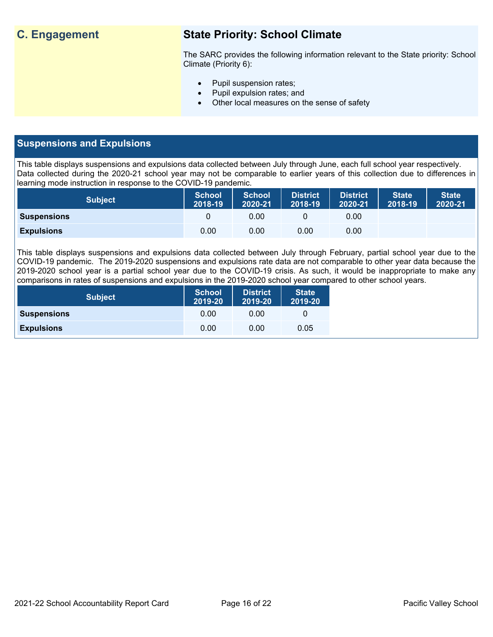# **C. Engagement State Priority: School Climate**

The SARC provides the following information relevant to the State priority: School Climate (Priority 6):

- Pupil suspension rates;
- Pupil expulsion rates; and
- Other local measures on the sense of safety

# **Suspensions and Expulsions**

This table displays suspensions and expulsions data collected between July through June, each full school year respectively. Data collected during the 2020-21 school year may not be comparable to earlier years of this collection due to differences in learning mode instruction in response to the COVID-19 pandemic.

| <b>Subject</b>     | <b>School</b><br>2018-19 | <b>School</b><br>2020-21 | <b>District</b><br>2018-19 | <b>District</b><br>2020-21 | <b>State</b><br>2018-19 | <b>State</b><br>2020-21 |
|--------------------|--------------------------|--------------------------|----------------------------|----------------------------|-------------------------|-------------------------|
| <b>Suspensions</b> |                          | 0.00                     |                            | 0.00                       |                         |                         |
| <b>Expulsions</b>  | 0.00                     | 0.00                     | 0.00                       | 0.00                       |                         |                         |

This table displays suspensions and expulsions data collected between July through February, partial school year due to the COVID-19 pandemic. The 2019-2020 suspensions and expulsions rate data are not comparable to other year data because the 2019-2020 school year is a partial school year due to the COVID-19 crisis. As such, it would be inappropriate to make any comparisons in rates of suspensions and expulsions in the 2019-2020 school year compared to other school years.

| <b>Subject</b>     | <b>School</b><br>2019-20 | <b>District</b><br>2019-20 | <b>State</b><br>2019-20 |
|--------------------|--------------------------|----------------------------|-------------------------|
| <b>Suspensions</b> | 0.00                     | 0.00                       |                         |
| <b>Expulsions</b>  | 0.00                     | 0.00                       | 0.05                    |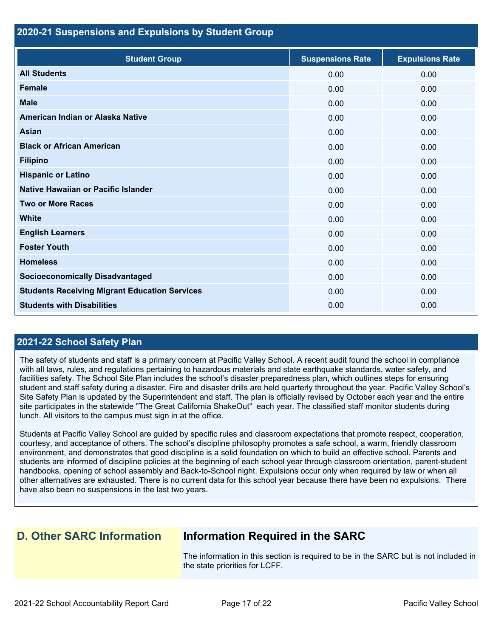### **2020-21 Suspensions and Expulsions by Student Group**

| <b>Student Group</b>                                 | <b>Suspensions Rate</b> | <b>Expulsions Rate</b> |
|------------------------------------------------------|-------------------------|------------------------|
| <b>All Students</b>                                  | 0.00                    | 0.00                   |
| <b>Female</b>                                        | 0.00                    | 0.00                   |
| <b>Male</b>                                          | 0.00                    | 0.00                   |
| American Indian or Alaska Native                     | 0.00                    | 0.00                   |
| <b>Asian</b>                                         | 0.00                    | 0.00                   |
| <b>Black or African American</b>                     | 0.00                    | 0.00                   |
| <b>Filipino</b>                                      | 0.00                    | 0.00                   |
| <b>Hispanic or Latino</b>                            | 0.00                    | 0.00                   |
| <b>Native Hawaiian or Pacific Islander</b>           | 0.00                    | 0.00                   |
| <b>Two or More Races</b>                             | 0.00                    | 0.00                   |
| <b>White</b>                                         | 0.00                    | 0.00                   |
| <b>English Learners</b>                              | 0.00                    | 0.00                   |
| <b>Foster Youth</b>                                  | 0.00                    | 0.00                   |
| <b>Homeless</b>                                      | 0.00                    | 0.00                   |
| <b>Socioeconomically Disadvantaged</b>               | 0.00                    | 0.00                   |
| <b>Students Receiving Migrant Education Services</b> | 0.00                    | 0.00                   |
| <b>Students with Disabilities</b>                    | 0.00                    | 0.00                   |

# **2021-22 School Safety Plan**

The safety of students and staff is a primary concern at Pacific Valley School. A recent audit found the school in compliance with all laws, rules, and regulations pertaining to hazardous materials and state earthquake standards, water safety, and facilities safety. The School Site Plan includes the school's disaster preparedness plan, which outlines steps for ensuring student and staff safety during a disaster. Fire and disaster drills are held quarterly throughout the year. Pacific Valley School's Site Safety Plan is updated by the Superintendent and staff. The plan is officially revised by October each year and the entire site participates in the statewide "The Great California ShakeOut" each year. The classified staff monitor students during lunch. All visitors to the campus must sign in at the office.

Students at Pacific Valley School are guided by specific rules and classroom expectations that promote respect, cooperation, courtesy, and acceptance of others. The school's discipline philosophy promotes a safe school, a warm, friendly classroom environment, and demonstrates that good discipline is a solid foundation on which to build an effective school. Parents and students are informed of discipline policies at the beginning of each school year through classroom orientation, parent-student handbooks, opening of school assembly and Back-to-School night. Expulsions occur only when required by law or when all other alternatives are exhausted. There is no current data for this school year because there have been no expulsions. There have also been no suspensions in the last two years.

# **D. Other SARC Information Information Required in the SARC**

The information in this section is required to be in the SARC but is not included in the state priorities for LCFF.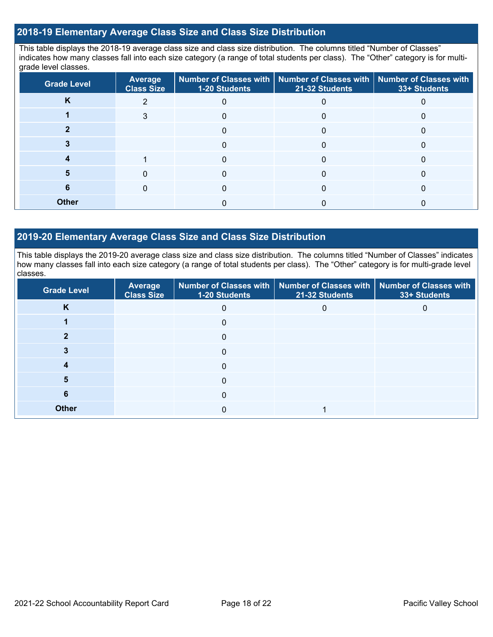## **2018-19 Elementary Average Class Size and Class Size Distribution**

This table displays the 2018-19 average class size and class size distribution. The columns titled "Number of Classes" indicates how many classes fall into each size category (a range of total students per class). The "Other" category is for multigrade level classes.

| <b>Grade Level</b> | Average<br><b>Class Size</b> | <b>1-20 Students</b> | $\mid$ Number of Classes with $\mid$ Number of Classes with $\mid$ Number of Classes with<br>21-32 Students | 33+ Students |
|--------------------|------------------------------|----------------------|-------------------------------------------------------------------------------------------------------------|--------------|
| K                  | າ                            |                      |                                                                                                             |              |
|                    | 3                            | 0                    | 0                                                                                                           |              |
|                    |                              | 0                    |                                                                                                             |              |
|                    |                              |                      |                                                                                                             |              |
|                    |                              |                      |                                                                                                             |              |
|                    |                              |                      |                                                                                                             |              |
|                    |                              |                      |                                                                                                             |              |
| <b>Other</b>       |                              |                      |                                                                                                             |              |

## **2019-20 Elementary Average Class Size and Class Size Distribution**

This table displays the 2019-20 average class size and class size distribution. The columns titled "Number of Classes" indicates how many classes fall into each size category (a range of total students per class). The "Other" category is for multi-grade level classes.

| <b>Grade Level</b> | Average<br><b>Class Size</b> | 1-20 Students | Number of Classes with   Number of Classes with   Number of Classes with<br>21-32 Students | 33+ Students |
|--------------------|------------------------------|---------------|--------------------------------------------------------------------------------------------|--------------|
| K                  |                              | 0             |                                                                                            |              |
|                    |                              | 0             |                                                                                            |              |
|                    |                              | 0             |                                                                                            |              |
|                    |                              | $\Omega$      |                                                                                            |              |
|                    |                              | $\Omega$      |                                                                                            |              |
| 5                  |                              | 0             |                                                                                            |              |
| 6                  |                              | $\Omega$      |                                                                                            |              |
| <b>Other</b>       |                              | 0             |                                                                                            |              |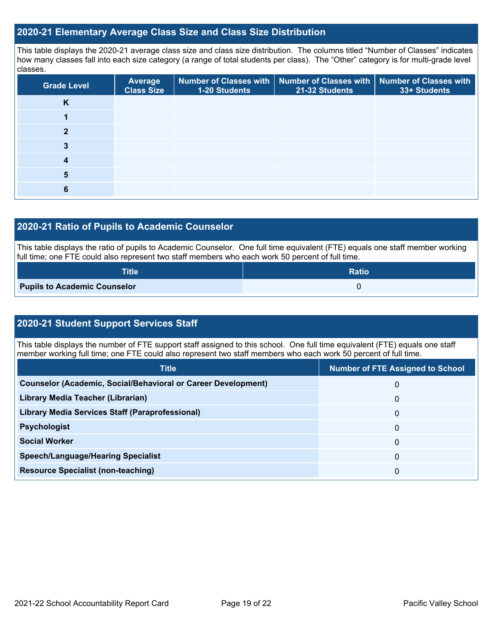## **2020-21 Elementary Average Class Size and Class Size Distribution**

This table displays the 2020-21 average class size and class size distribution. The columns titled "Number of Classes" indicates how many classes fall into each size category (a range of total students per class). The "Other" category is for multi-grade level classes.

| <b>Grade Level</b> | <b>Average</b><br><b>Class Size</b> | 1-20 Students | Number of Classes with   Number of Classes with   Number of Classes with<br>21-32 Students | 33+ Students |
|--------------------|-------------------------------------|---------------|--------------------------------------------------------------------------------------------|--------------|
| <b>N</b>           |                                     |               |                                                                                            |              |
|                    |                                     |               |                                                                                            |              |
|                    |                                     |               |                                                                                            |              |
|                    |                                     |               |                                                                                            |              |
|                    |                                     |               |                                                                                            |              |
| 5                  |                                     |               |                                                                                            |              |
|                    |                                     |               |                                                                                            |              |

# **2020-21 Ratio of Pupils to Academic Counselor**

This table displays the ratio of pupils to Academic Counselor. One full time equivalent (FTE) equals one staff member working full time; one FTE could also represent two staff members who each work 50 percent of full time.

| <b>Title</b>                        | <b>Ratio</b> |
|-------------------------------------|--------------|
| <b>Pupils to Academic Counselor</b> |              |

# **2020-21 Student Support Services Staff**

This table displays the number of FTE support staff assigned to this school. One full time equivalent (FTE) equals one staff member working full time; one FTE could also represent two staff members who each work 50 percent of full time.

| <b>Title</b>                                                         | <b>Number of FTE Assigned to School</b> |
|----------------------------------------------------------------------|-----------------------------------------|
| <b>Counselor (Academic, Social/Behavioral or Career Development)</b> | 0                                       |
| Library Media Teacher (Librarian)                                    | 0                                       |
| <b>Library Media Services Staff (Paraprofessional)</b>               | 0                                       |
| <b>Psychologist</b>                                                  | $\Omega$                                |
| <b>Social Worker</b>                                                 | $\Omega$                                |
| <b>Speech/Language/Hearing Specialist</b>                            | 0                                       |
| <b>Resource Specialist (non-teaching)</b>                            | 0                                       |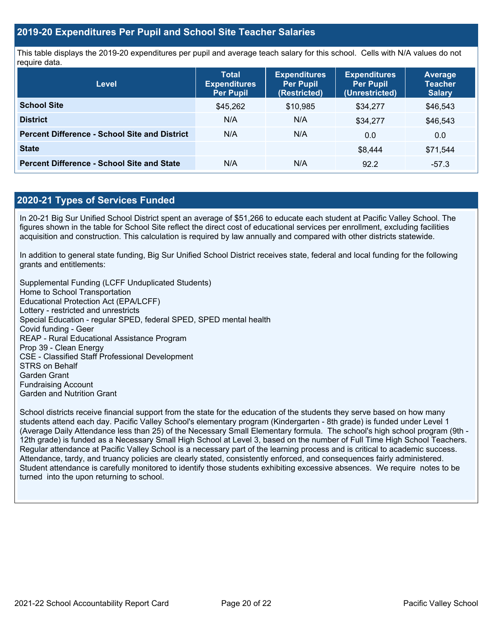## **2019-20 Expenditures Per Pupil and School Site Teacher Salaries**

This table displays the 2019-20 expenditures per pupil and average teach salary for this school. Cells with N/A values do not require data.

| <b>Level</b>                                         | <b>Total</b><br><b>Expenditures</b><br><b>Per Pupil</b> | <b>Expenditures</b><br><b>Per Pupil</b><br>(Restricted) | <b>Expenditures</b><br><b>Per Pupil</b><br>(Unrestricted) | <b>Average</b><br><b>Teacher</b><br><b>Salary</b> |
|------------------------------------------------------|---------------------------------------------------------|---------------------------------------------------------|-----------------------------------------------------------|---------------------------------------------------|
| <b>School Site</b>                                   | \$45,262                                                | \$10,985                                                | \$34,277                                                  | \$46,543                                          |
| <b>District</b>                                      | N/A                                                     | N/A                                                     | \$34,277                                                  | \$46,543                                          |
| <b>Percent Difference - School Site and District</b> | N/A                                                     | N/A                                                     | 0.0                                                       | 0.0                                               |
| <b>State</b>                                         |                                                         |                                                         | \$8.444                                                   | \$71.544                                          |
| <b>Percent Difference - School Site and State</b>    | N/A                                                     | N/A                                                     | 92.2                                                      | $-57.3$                                           |

# **2020-21 Types of Services Funded**

In 20-21 Big Sur Unified School District spent an average of \$51,266 to educate each student at Pacific Valley School. The figures shown in the table for School Site reflect the direct cost of educational services per enrollment, excluding facilities acquisition and construction. This calculation is required by law annually and compared with other districts statewide.

In addition to general state funding, Big Sur Unified School District receives state, federal and local funding for the following grants and entitlements:

Supplemental Funding (LCFF Unduplicated Students) Home to School Transportation Educational Protection Act (EPA/LCFF) Lottery - restricted and unrestricts Special Education - regular SPED, federal SPED, SPED mental health Covid funding - Geer REAP - Rural Educational Assistance Program Prop 39 - Clean Energy CSE - Classified Staff Professional Development STRS on Behalf Garden Grant Fundraising Account Garden and Nutrition Grant

School districts receive financial support from the state for the education of the students they serve based on how many students attend each day. Pacific Valley School's elementary program (Kindergarten - 8th grade) is funded under Level 1 (Average Daily Attendance less than 25) of the Necessary Small Elementary formula. The school's high school program (9th - 12th grade) is funded as a Necessary Small High School at Level 3, based on the number of Full Time High School Teachers. Regular attendance at Pacific Valley School is a necessary part of the learning process and is critical to academic success. Attendance, tardy, and truancy policies are clearly stated, consistently enforced, and consequences fairly administered. Student attendance is carefully monitored to identify those students exhibiting excessive absences. We require notes to be turned into the upon returning to school.